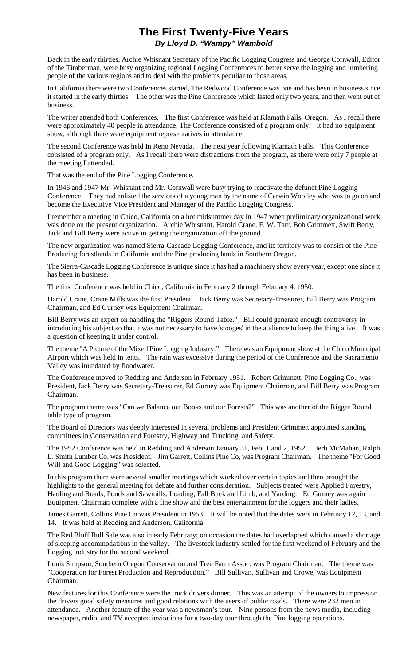## **The First Twenty-Five Years** *By Lloyd D. "Wampy" Wambold*

Back in the early thirties, Archie Whisnant Secretary of the Pacific Logging Congress and George Cornwall, Editor of the Timberman, were busy organizing regional Logging Conferences to better serve the logging and lumbering people of the various regions and to deal with the problems peculiar to those areas,

In California there were two Conferences started, The Redwood Conference was one and has been in business since it started in the early thirties. The other was the Pine Conference which lasted only two years, and then went out of business.

The writer attended both Conferences. The first Conference was held at Klamath Falls, Oregon. As I recall there were approximately 40 people in attendance, The Conference consisted of a program only. It had no equipment show, although there were equipment representatives in attendance.

The second Conference was held In Reno Nevada. The next year following Klamath Falls. This Conference consisted of a program only. As I recall there were distractions from the program, as there were only 7 people at the meeting I attended.

That was the end of the Pine Logging Conference.

In 1946 and 1947 Mr. Whisnant and Mr. Cornwall were busy trying to reactivate the defunct Pine Logging Conference. They had enlisted the services of a young man by the name of Carwin Woolley who was to go on and become the Executive Vice President and Manager of the Pacific Logging Congress.

I remember a meeting in Chico, California on a hot midsummer day in 1947 when preliminary organizational work was done on the present organization. Archie Whisnant, Harold Crane, F. W. Tarr, Bob Grimmett, Swift Berry, Jack and Bill Berry were active in getting the organization off the ground.

The new organization was named Sierra-Cascade Logging Conference, and its territory was to consist of the Pine Producing forestlands in California and the Pine producing lands in Southern Oregon.

The Sierra-Cascade Logging Conference is unique since it has had a machinery show every year, except one since it has been in business.

The first Conference was held in Chico, California in February 2 through February 4, 1950.

Harold Crane, Crane Mills was the first President. Jack Berry was Secretary-Treasurer, Bill Berry was Program Chairman, and Ed Gurney was Equipment Chairman.

Bill Berry was an expert on handling the "Riggers Round Table." Bill could generate enough controversy in introducing his subject so that it was not necessary to have 'stooges' in the audience to keep the thing alive. It was a question of keeping it under control.

The theme "A Picture of the Mixed Pine Logging Industry." There was an Equipment show at the Chico Municipal Airport which was held in tents. The rain was excessive during the period of the Conference and the Sacramento Valley was inundated by floodwater.

The Conference moved to Redding and Anderson in February 1951. Robert Grimmett, Pine Logging Co., was President, Jack Berry was Secretary-Treasurer, Ed Gurney was Equipment Chairman, and Bill Berry was Program Chairman.

The program theme was "Can we Balance our Books and our Forests?" This was another of the Rigger Round table type of program.

The Board of Directors was deeply interested in several problems and President Grimmett appointed standing committees in Conservation and Forestry, Highway and Trucking, and Safety.

The 1952 Conference was held in Redding and Anderson January 31, Feb. 1 and 2, 1952. Herb McMahan, Ralph L. Smith Lumber Co. was President. Jim Garrett, Collins Pine Co, was Program Chairman. The theme "For Good Will and Good Logging" was selected.

In this program there were several smaller meetings which worked over certain topics and then brought the highlights to the general meeting for debate and further consideration. Subjects treated were Applied Forestry, Hauling and Roads, Ponds and Sawmills, Loading, Fall Buck and Limb, and Yarding. Ed Gurney was again Equipment Chairman complete with a fine show and the best entertainment for the loggers and their ladies.

James Garrett, Collins Pine Co was President in 1953. It will be noted that the dates were in February 12, 13, and 14. It was held at Redding and Anderson, California.

The Red Bluff Bull Sale was also in early February; on occasion the dates had overlapped which caused a shortage of sleeping accommodations in the valley. The livestock industry settled for the first weekend of February and the Logging industry for the second weekend.

Louis Simpson, Southern Oregon Conservation and Tree Farm Assoc. was Program Chairman. The theme was "Cooperation for Forest Production and Reproduction." Bill Sullivan, Sullivan and Crowe, was Equipment Chairman.

New features for this Conference were the truck drivers dinner. This was an attempt of the owners to impress on the drivers good safety measures and good relations with the users of public roads. There were 232 men in attendance. Another feature of the year was a newsman's tour. Nine persons from the news media, including newspaper, radio, and TV accepted invitations for a two-day tour through the Pine logging operations.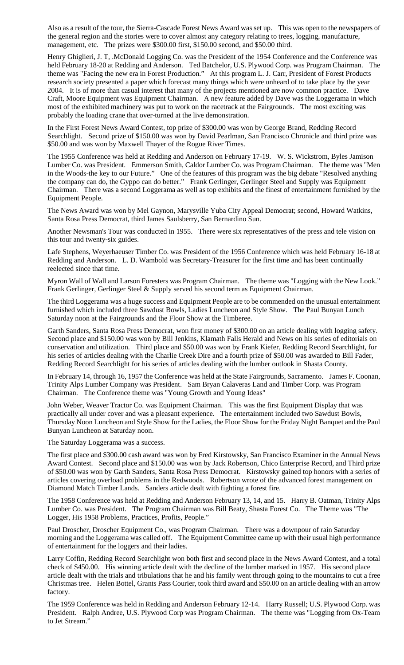Also as a result of the tour, the Sierra-Cascade Forest News Award was set up. This was open to the newspapers of the general region and the stories were to cover almost any category relating to trees, logging, manufacture, management, etc. The prizes were \$300.00 first, \$150.00 second, and \$50.00 third.

Henry Ghiglieri, J. T, .McDonald Logging Co. was the President of the 1954 Conference and the Conference was held February 18-20 at Redding and Anderson. Ted Batchelor, U.S. Plywood Corp. was Program Chairman. The theme was "Facing the new era in Forest Production." At this program L. J. Carr, President of Forest Products research society presented a paper which forecast many things which were unheard of to take place by the year 2004. It is of more than casual interest that many of the projects mentioned are now common practice. Dave Craft, Moore Equipment was Equipment Chairman. A new feature added by Dave was the Loggerama in which most of the exhibited machinery was put to work on the racetrack at the Fairgrounds. The most exciting was probably the loading crane that over-turned at the live demonstration.

In the First Forest News Award Contest, top prize of \$300.00 was won by George Brand, Redding Record Searchlight. Second prize of \$150.00 was won by David Pearlman, San Francisco Chronicle and third prize was \$50.00 and was won by Maxwell Thayer of the Rogue River Times.

The 1955 Conference was held at Redding and Anderson on February 17-19. W. S. Wickstrom, Byles Jamison Lumber Co. was President. Emmerson Smith, Caldor Lumber Co. was Program Chairman. The theme was "Men in the Woods-the key to our Future." One of the features of this program was the big debate "Resolved anything the company can do, the Gyppo can do better." Frank Gerlinger, Gerlinger Steel and Supply was Equipment Chairman. There was a second Loggerama as well as top exhibits and the finest of entertainment furnished by the Equipment People.

The News Award was won by Mel Gaynon, Marysville Yuba City Appeal Democrat; second, Howard Watkins, Santa Rosa Press Democrat, third James Saulsberry, San Bernardino Sun.

Another Newsman's Tour was conducted in 1955. There were six representatives of the press and tele vision on this tour and twenty-six guides.

Lafe Stephens, Weyerhaeuser Timber Co. was President of the 1956 Conference which was held February 16-18 at Redding and Anderson. L. D. Wambold was Secretary-Treasurer for the first time and has been continually reelected since that time.

Myron Wall of Wall and Larson Foresters was Program Chairman. The theme was "Logging with the New Look." Frank Gerlinger, Gerlinger Steel & Supply served his second term as Equipment Chairman.

The third Loggerama was a huge success and Equipment People are to be commended on the unusual entertainment furnished which included three Sawdust Bowls, Ladies Luncheon and Style Show. The Paul Bunyan Lunch Saturday noon at the Fairgrounds and the Floor Show at the Timberee.

Garth Sanders, Santa Rosa Press Democrat, won first money of \$300.00 on an article dealing with logging safety. Second place and \$150.00 was won by Bill Jenkins, Klamath Falls Herald and News on his series of editorials on conservation and utilization. Third place and \$50.00 was won by Frank Kiefer, Redding Record Searchlight, for his series of articles dealing with the Charlie Creek Dire and a fourth prize of \$50.00 was awarded to Bill Fader, Redding Record Searchlight for his series of articles dealing with the lumber outlook in Shasta County.

In February 14, through 16, 1957 the Conference was held at the State Fairgrounds, Sacramento. James F. Coonan, Trinity Alps Lumber Company was President. Sam Bryan Calaveras Land and Timber Corp. was Program Chairman. The Conference theme was "Young Growth and Young Ideas"

John Weber, Weaver Tractor Co. was Equipment Chairman. This was the first Equipment Display that was practically all under cover and was a pleasant experience. The entertainment included two Sawdust Bowls, Thursday Noon Luncheon and Style Show for the Ladies, the Floor Show for the Friday Night Banquet and the Paul Bunyan Luncheon at Saturday noon.

The Saturday Loggerama was a success.

The first place and \$300.00 cash award was won by Fred Kirstowsky, San Francisco Examiner in the Annual News Award Contest. Second place and \$150.00 was won by Jack Robertson, Chico Enterprise Record, and Third prize of \$50.00 was won by Garth Sanders, Santa Rosa Press Democrat. Kirstowsky gained top honors with a series of articles covering overload problems in the Redwoods. Robertson wrote of the advanced forest management on Diamond Match Timber Lands. Sanders article dealt with fighting a forest fire.

The 1958 Conference was held at Redding and Anderson February 13, 14, and 15. Harry B. Oatman, Trinity Alps Lumber Co. was President. The Program Chairman was Bill Beaty, Shasta Forest Co. The Theme was "The Logger, His 1958 Problems, Practices, Profits, People."

Paul Droscher, Droscher Equipment Co., was Program Chairman. There was a downpour of rain Saturday morning and the Loggerama was called off. The Equipment Committee came up with their usual high performance of entertainment for the loggers and their ladies.

Larry Coffin, Redding Record Searchlight won both first and second place in the News Award Contest, and a total check of \$450.00. His winning article dealt with the decline of the lumber marked in 1957. His second place article dealt with the trials and tribulations that he and his family went through going to the mountains to cut a free Christmas tree. Helen Bottel, Grants Pass Courier, took third award and \$50.00 on an article dealing with an arrow factory.

The 1959 Conference was held in Redding and Anderson February 12-14. Harry Russell; U.S. Plywood Corp. was President. Ralph Andree, U.S. Plywood Corp was Program Chairman. The theme was "Logging from Ox-Team to Jet Stream."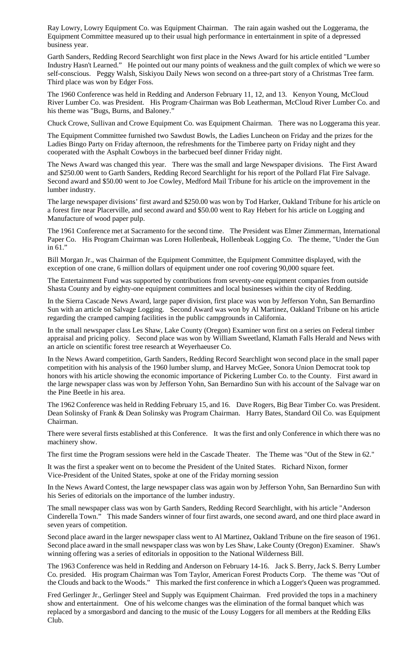Ray Lowry, Lowry Equipment Co. was Equipment Chairman. The rain again washed out the Loggerama, the Equipment Committee measured up to their usual high performance in entertainment in spite of a depressed business year.

Garth Sanders, Redding Record Searchlight won first place in the News Award for his article entitled "Lumber Industry Hasn't Learned." He pointed out our many points of weakness and the guilt complex of which we were so self-conscious. Peggy Walsh, Siskiyou Daily News won second on a three-part story of a Christmas Tree farm. Third place was won by Edger Foss.

The 1960 Conference was held in Redding and Anderson February 11, 12, and 13. Kenyon Young, McCloud River Lumber Co. was President. His Program·Chairman was Bob Leatherman, McCloud River Lumber Co. and his theme was "Bugs, Burns, and Baloney."

Chuck Crowe, Sullivan and Crowe Equipment Co. was Equipment Chairman. There was no Loggerama this year.

The Equipment Committee furnished two Sawdust Bowls, the Ladies Luncheon on Friday and the prizes for the Ladies Bingo Party on Friday afternoon, the refreshments for the Timberee party on Friday night and they cooperated with the Asphalt Cowboys in the barbecued beef dinner Friday night.

The News Award was changed this year. There was the small and large Newspaper divisions. The First Award and \$250.00 went to Garth Sanders, Redding Record Searchlight for his report of the Pollard Flat Fire Salvage. Second award and \$50.00 went to Joe Cowley, Medford Mail Tribune for his article on the improvement in the lumber industry.

The large newspaper divisions' first award and \$250.00 was won by Tod Harker, Oakland Tribune for his article on a forest fire near Placerville, and second award and \$50.00 went to Ray Hebert for his article on Logging and Manufacture of wood paper pulp.

The 1961 Conference met at Sacramento for the second time. The President was Elmer Zimmerman, International Paper Co. His Program Chairman was Loren Hollenbeak, Hollenbeak Logging Co. The theme, "Under the Gun in 61."

Bill Morgan Jr., was Chairman of the Equipment Committee, the Equipment Committee displayed, with the exception of one crane, 6 million dollars of equipment under one roof covering 90,000 square feet.

The Entertainment Fund was supported by contributions from seventy-one equipment companies from outside Shasta County and by eighty-one equipment committees and local businesses within the city of Redding.

In the Sierra Cascade News Award, large paper division, first place was won by Jefferson Yohn, San Bernardino Sun with an article on Salvage Logging. Second Award was won by Al Martinez, Oakland Tribune on his article regarding the cramped camping facilities in the public campgrounds in California.

In the small newspaper class Les Shaw, Lake County (Oregon) Examiner won first on a series on Federal timber appraisal and pricing policy. Second place was won by William Sweetland, Klamath Falls Herald and News with an article on scientific forest tree research at Weyerhaeuser Co.

In the News Award competition, Garth Sanders, Redding Record Searchlight won second place in the small paper competition with his analysis of the 1960 lumber slump, and Harvey McGee, Sonora Union Democrat took top honors with his article showing the economic importance of Pickering Lumber Co. to the County. First award in the large newspaper class was won by Jefferson Yohn, San Bernardino Sun with his account of the Salvage war on the Pine Beetle in his area.

The 1962 Conference was held in Redding February 15, and 16. Dave Rogers, Big Bear Timber Co. was President. Dean Solinsky of Frank & Dean Solinsky was Program Chairman. Harry Bates, Standard Oil Co. was Equipment Chairman.

There were several firsts established at this Conference. It was the first and only Conference in which there was no machinery show.

The first time the Program sessions were held in the Cascade Theater. The Theme was "Out of the Stew in 62."

It was the first a speaker went on to become the President of the United States. Richard Nixon, former Vice-President of the United States, spoke at one of the Friday morning session

In the News Award Contest, the large newspaper class was again won by Jefferson Yohn, San Bernardino Sun with his Series of editorials on the importance of the lumber industry.

The small newspaper class was won by Garth Sanders, Redding Record Searchlight, with his article "Anderson Cinderella Town." This made Sanders winner of four first awards, one second award, and one third place award in seven years of competition.

Second place award in the larger newspaper class went to Al Martinez, Oakland Tribune on the fire season of 1961. Second place award in the small newspaper class was won by Les Shaw, Lake County (Oregon) Examiner. Shaw's winning offering was a series of editorials in opposition to the National Wilderness Bill.

The 1963 Conference was held in Redding and Anderson on February 14-16. Jack S. Berry, Jack S. Berry Lumber Co. presided. His program Chairman was Tom Taylor, American Forest Products Corp. The theme was "Out of the Clouds and back to the Woods." This marked the first conference in which a Logger's Queen was programmed.

Fred Gerlinger Jr., Gerlinger Steel and Supply was Equipment Chairman. Fred provided the tops in a machinery show and entertainment. One of his welcome changes was the elimination of the formal banquet which was replaced by a smorgasbord and dancing to the music of the Lousy Loggers for all members at the Redding Elks Club.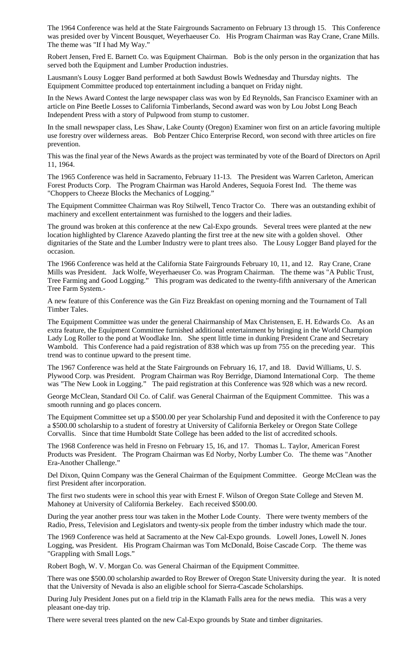The 1964 Conference was held at the State Fairgrounds Sacramento on February 13 through 15. This Conference was presided over by Vincent Bousquet, Weyerhaeuser Co. His Program Chairman was Ray Crane, Crane Mills. The theme was "If I had My Way."

Robert Jensen, Fred E. Barnett Co. was Equipment Chairman. Bob is the only person in the organization that has served both the Equipment and Lumber Production industries.

Lausmann's Lousy Logger Band performed at both Sawdust Bowls Wednesday and Thursday nights. The Equipment Committee produced top entertainment including a banquet on Friday night.

In the News Award Contest the large newspaper class was won by Ed Reynolds, San Francisco Examiner with an article on Pine Beetle Losses to California Timberlands, Second award was won by Lou Jobst Long Beach Independent Press with a story of Pulpwood from stump to customer.

In the small newspaper class, Les Shaw, Lake County (Oregon) Examiner won first on an article favoring multiple use forestry over wilderness areas. Bob Pentzer Chico Enterprise Record, won second with three articles on fire prevention.

This was the final year of the News Awards as the project was terminated by vote of the Board of Directors on April 11, 1964.

The 1965 Conference was held in Sacramento, February 11-13. The President was Warren Carleton, American Forest Products Corp. The Program Chairman was Harold Anderes, Sequoia Forest Ind. The theme was "Choppers to Cheeze Blocks the Mechanics of Logging."

The Equipment Committee Chairman was Roy Stilwell, Tenco Tractor Co. There was an outstanding exhibit of machinery and excellent entertainment was furnished to the loggers and their ladies.

The ground was broken at this conference at the new Cal-Expo grounds. Several trees were planted at the new location highlighted by Clarence Azavedo planting the first tree at the new site with a golden shovel. Other dignitaries of the State and the Lumber Industry were to plant trees also. The Lousy Logger Band played for the occasion.

The 1966 Conference was held at the California State Fairgrounds February 10, 11, and 12. Ray Crane, Crane Mills was President. Jack Wolfe, Weyerhaeuser Co. was Program Chairman. The theme was "A Public Trust, Tree Farming and Good Logging." This program was dedicated to the twenty-fifth anniversary of the American Tree Farm System.-

A new feature of this Conference was the Gin Fizz Breakfast on opening morning and the Tournament of Tall Timber Tales.

The Equipment Committee was under the general Chairmanship of Max Christensen, E. H. Edwards Co. As an extra feature, the Equipment Committee furnished additional entertainment by bringing in the World Champion Lady Log Roller to the pond at Woodlake Inn. She spent little time in dunking President Crane and Secretary Wambold. This Conference had a paid registration of 838 which was up from 755 on the preceding year. This trend was to continue upward to the present time.

The 1967 Conference was held at the State Fairgrounds on February 16, 17, and 18. David Williams, U. S. Plywood Corp. was President. Program Chairman was Roy Berridge, Diamond International Corp. The theme was "The New Look in Logging." The paid registration at this Conference was 928 which was a new record.

George McClean, Standard Oil Co. of Calif. was General Chairman of the Equipment Committee. This was a smooth running and go places concern.

The Equipment Committee set up a \$500.00 per year Scholarship Fund and deposited it with the Conference to pay a \$500.00 scholarship to a student of forestry at University of California Berkeley or Oregon State College Corvallis. Since that time Humboldt State College has been added to the list of accredited schools.

The 1968 Conference was held in Fresno on February 15, 16, and 17. Thomas L. Taylor, American Forest Products was President. The Program Chairman was Ed Norby, Norby Lumber Co. The theme was "Another Era-Another Challenge."

Del Dixon, Quinn Company was the General Chairman of the Equipment Committee. George McClean was the first President after incorporation.

The first two students were in school this year with Ernest F. Wilson of Oregon State College and Steven M. Mahoney at University of California Berkeley. Each received \$500.00.

During the year another press tour was taken in the Mother Lode County. There were twenty members of the Radio, Press, Television and Legislators and twenty-six people from the timber industry which made the tour.

The 1969 Conference was held at Sacramento at the New Cal-Expo grounds. Lowell Jones, Lowell N. Jones Logging, was President. His Program Chairman was Tom McDonald, Boise Cascade Corp. The theme was "Grappling with Small Logs."

Robert Bogh, W. V. Morgan Co. was General Chairman of the Equipment Committee.

There was one \$500.00 scholarship awarded to Roy Brewer of Oregon State University during the year. It is noted that the University of Nevada is also an eligible school for Sierra-Cascade Scholarships.

During July President Jones put on a field trip in the Klamath Falls area for the news media. This was a very pleasant one-day trip.

There were several trees planted on the new Cal-Expo grounds by State and timber dignitaries.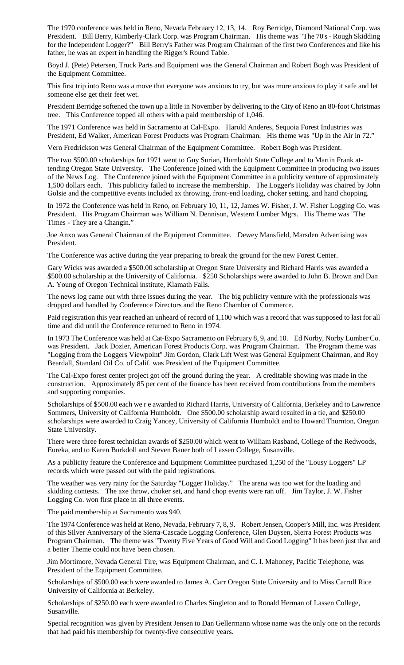The 1970 conference was held in Reno, Nevada February 12, 13, 14. Roy Berridge, Diamond National Corp. was President. Bill Berry, Kimberly-Clark Corp. was Program Chairman. His theme was "The 70's - Rough Skidding for the Independent Logger?" Bill Berry's Father was Program Chairman of the first two Conferences and like his father, he was an expert in handling the Rigger's Round Table.

Boyd J. (Pete) Petersen, Truck Parts and Equipment was the General Chairman and Robert Bogh was President of the Equipment Committee.

This first trip into Reno was a move that everyone was anxious to try, but was more anxious to play it safe and let someone else get their feet wet.

President Berridge softened the town up a little in November by delivering to the City of Reno an 80-foot Christmas tree. This Conference topped all others with a paid membership of 1,046.

The 1971 Conference was held in Sacramento at Cal-Expo. Harold Anderes, Sequoia Forest Industries was President, Ed Walker, American Forest Products was Program Chairman. His theme was "Up in the Air in 72."

Vern Fredrickson was General Chairman of the Equipment Committee. Robert Bogh was President.

The two \$500.00 scholarships for 1971 went to Guy Surian, Humboldt State College and to Martin Frank attending Oregon State University. The Conference joined with the Equipment Committee in producing two issues of the News Log. The Conference joined with the Equipment Committee in a publicity venture of approximately 1,500 dollars each. This publicity failed to increase the membership. The Logger's Holiday was chaired by John Golsie and the competitive events included ax throwing, front-end loading, choker setting, and hand chopping.

In 1972 the Conference was held in Reno, on February 10, 11, 12, James W. Fisher, J. W. Fisher Logging Co. was President. His Program Chairman was William N. Dennison, Western Lumber Mgrs. His Theme was "The Times - They are a Changin."

Joe Anxo was General Chairman of the Equipment Committee. Dewey Mansfield, Marsden Advertising was President.

The Conference was active during the year preparing to break the ground for the new Forest Center.

Gary Wicks was awarded a \$500.00 scholarship at Oregon State University and Richard Harris was awarded a \$500.00 scholarship at the University of California. \$250 Scholarships were awarded to John B. Brown and Dan A. Young of Oregon Technical institute, Klamath Falls.

The news log came out with three issues during the year. The big publicity venture with the professionals was dropped and handled by Conference Directors and the Reno Chamber of Commerce.

Paid registration this year reached an unheard of record of 1,100 which was a record that was supposed to last for all time and did until the Conference returned to Reno in 1974.

In 1973 The Conference was held at Cat-Expo Sacramento on February 8, 9, and 10. Ed Norby, Norby Lumber Co. was President. Jack Dozier, American Forest Products Corp. was Program Chairman. The Program theme was "Logging from the Loggers Viewpoint" Jim Gordon, Clark Lift West was General Equipment Chairman, and Roy Beardall, Standard Oil Co. of Calif. was President of the Equipment Committee.

The Cal-Expo forest center project got off the ground during the year. A creditable showing was made in the construction. Approximately 85 per cent of the finance has been received from contributions from the members and supporting companies.

Scholarships of \$500.00 each we r e awarded to Richard Harris, University of California, Berkeley and to Lawrence Sommers, University of California Humboldt. One \$500.00 scholarship award resulted in a tie, and \$250.00 scholarships were awarded to Craig Yancey, University of California Humboldt and to Howard Thornton, Oregon State University.

There were three forest technician awards of \$250.00 which went to William Rasband, College of the Redwoods, Eureka, and to Karen Burkdoll and Steven Bauer both of Lassen College, Susanville.

As a publicity feature the Conference and Equipment Committee purchased 1,250 of the "Lousy Loggers" LP records which were passed out with the paid registrations.

The weather was very rainy for the Saturday "Logger Holiday." The arena was too wet for the loading and skidding contests. The axe throw, choker set, and hand chop events were ran off. Jim Taylor, J. W. Fisher Logging Co. won first place in all three events.

The paid membership at Sacramento was 940.

The 1974 Conference was held at Reno, Nevada, February 7, 8, 9. Robert Jensen, Cooper's Mill, Inc. was President of this Silver Anniversary of the Sierra-Cascade Logging Conference, Glen Duysen, Sierra Forest Products was Program Chairman. The theme was "Twenty Five Years of Good Will and Good Logging" It has been just that and a better Theme could not have been chosen.

Jim Mortimore, Nevada General Tire, was Equipment Chairman, and C. I. Mahoney, Pacific Telephone, was President of the Equipment Committee.

Scholarships of \$500.00 each were awarded to James A. Carr Oregon State University and to Miss Carroll Rice University of California at Berkeley.

Scholarships of \$250.00 each were awarded to Charles Singleton and to Ronald Herman of Lassen College, Susanville.

Special recognition was given by President Jensen to Dan Gellermann whose name was the only one on the records that had paid his membership for twenty-five consecutive years.